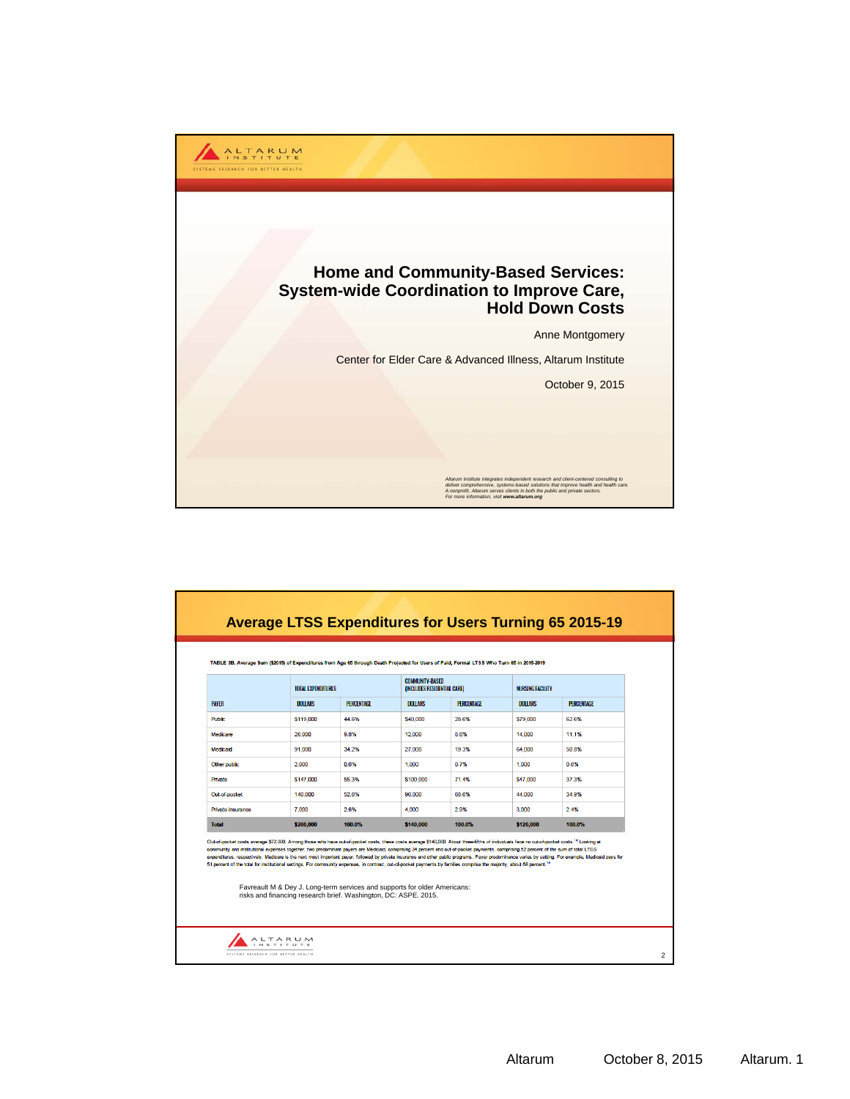

|                                                                                                                                                                                                                                                                                                                                                                                                                                                                                                                                                                                      |                                                                                                                                              | TOTAL EXPENDITURES |                | <b>COMMUNITY-BASED</b><br>(INCLUDES RESIDENTIAL CARE) |                | <b>NURSING FACILITY</b>                                                                                                                                                                              |  |
|--------------------------------------------------------------------------------------------------------------------------------------------------------------------------------------------------------------------------------------------------------------------------------------------------------------------------------------------------------------------------------------------------------------------------------------------------------------------------------------------------------------------------------------------------------------------------------------|----------------------------------------------------------------------------------------------------------------------------------------------|--------------------|----------------|-------------------------------------------------------|----------------|------------------------------------------------------------------------------------------------------------------------------------------------------------------------------------------------------|--|
| <b>PAYER</b>                                                                                                                                                                                                                                                                                                                                                                                                                                                                                                                                                                         | <b>DOLLARS</b>                                                                                                                               | <b>PERCENTAGE</b>  | <b>DOLLARS</b> | <b>PERCENTAGE</b>                                     | <b>DOLLARS</b> | <b>PERCENTAGE</b>                                                                                                                                                                                    |  |
| <b>Public</b>                                                                                                                                                                                                                                                                                                                                                                                                                                                                                                                                                                        | \$119,000                                                                                                                                    | 44.6%              | \$40,000       | 28.6%                                                 | \$79,000       | 62.6%                                                                                                                                                                                                |  |
| Medicare                                                                                                                                                                                                                                                                                                                                                                                                                                                                                                                                                                             | 26,000                                                                                                                                       | 9.8%               | 12,000         | 8.6%                                                  | 14,000         | 11.1%                                                                                                                                                                                                |  |
| Medicaid                                                                                                                                                                                                                                                                                                                                                                                                                                                                                                                                                                             | 91,000                                                                                                                                       | 34.2%              | 27,000         | 19.3%                                                 | 64,000         | 50.8%                                                                                                                                                                                                |  |
| Other public                                                                                                                                                                                                                                                                                                                                                                                                                                                                                                                                                                         | 2,000                                                                                                                                        | 0.6%               | 1.000          | 0.7%                                                  | 1.000          | 0.6%                                                                                                                                                                                                 |  |
| Private                                                                                                                                                                                                                                                                                                                                                                                                                                                                                                                                                                              | \$147,000                                                                                                                                    | 55.3%              | \$100,000      | 71.4%                                                 | \$47,000       | 37.3%                                                                                                                                                                                                |  |
| Out-of-pocket                                                                                                                                                                                                                                                                                                                                                                                                                                                                                                                                                                        | 140,000                                                                                                                                      | 52.6%              | 96.000         | 68.6%                                                 | 44.000         | 34.9%                                                                                                                                                                                                |  |
| Private insurance                                                                                                                                                                                                                                                                                                                                                                                                                                                                                                                                                                    | 7.000                                                                                                                                        | 2.6%               | 4.000          | 2.9%                                                  | 3,000          | 2.4%                                                                                                                                                                                                 |  |
| <b>Total</b>                                                                                                                                                                                                                                                                                                                                                                                                                                                                                                                                                                         | \$266,000                                                                                                                                    | 100.0%             | \$140,000      | 100.0%                                                | \$126,000      | 100.0%                                                                                                                                                                                               |  |
| Out-of-pooket costs average \$72,000. Among those who have out-of-pooket costs, these costs average \$140,000. About three-fifths of individuals face no out-of-pooket costs. <sup>14</sup> Looking at<br>community and institutional expenses together, two predominant payers are Medicaid, comprising 34 percent and out-of-pocket payments, comprising 52 percent of the sum of total LTSS<br>51 percent of the total for institutional settings. For community expenses, in contrast, out-of-pooket payments by families comprise the majority, about 68 percent. <sup>15</sup> | Favreault M & Dey J. Long-term services and supports for older Americans:<br>risks and financing research brief. Washington, DC: ASPE. 2015. |                    |                |                                                       |                | expenditures, respectively. Medicare is the next most important payer, followed by private insurance and other public programs. Payer predominance varies by setting. For example, Medicaid pays for |  |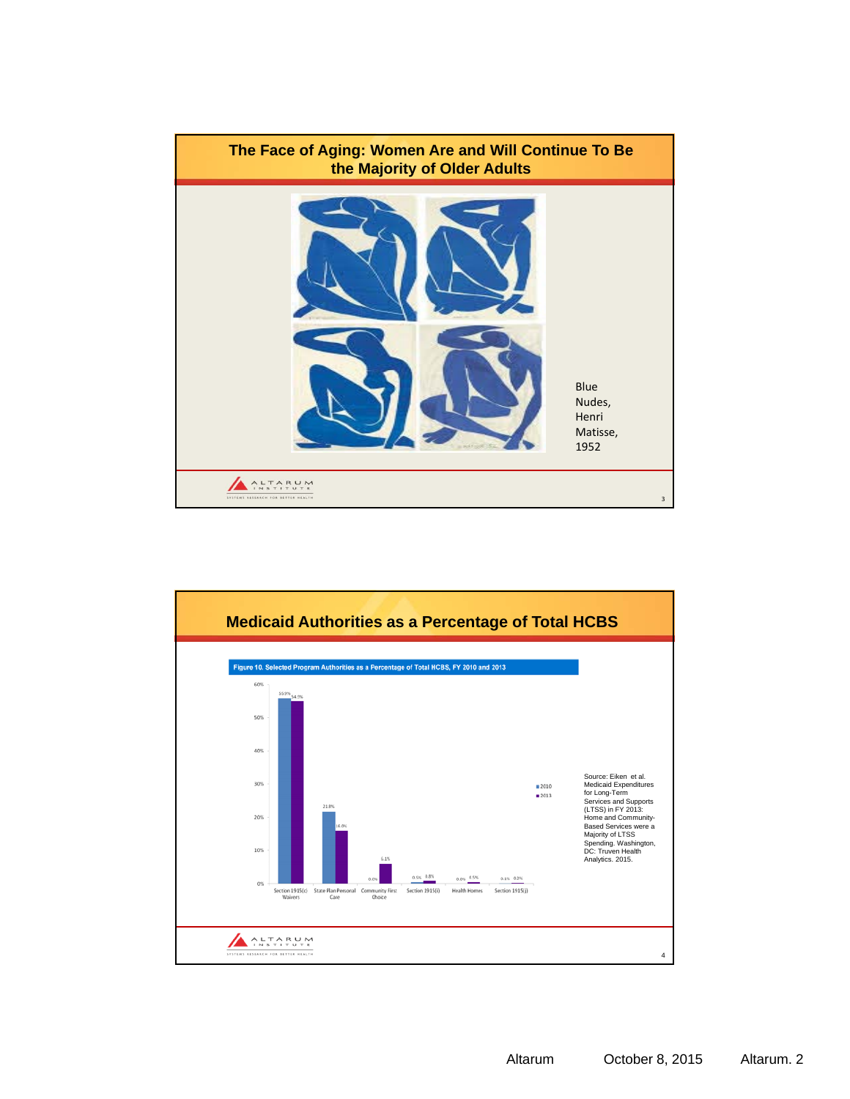

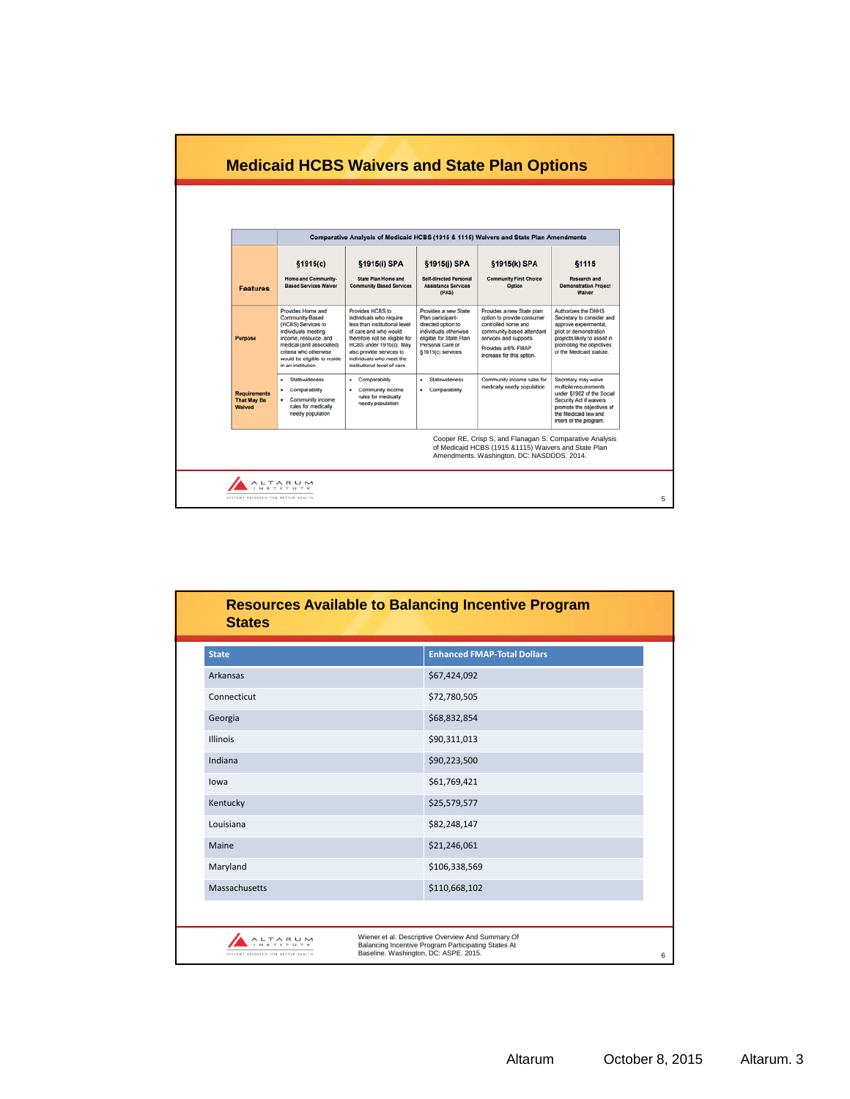

| <b>State</b>    | <b>Enhanced FMAP-Total Dollars</b> |
|-----------------|------------------------------------|
| <b>Arkansas</b> | \$67,424,092                       |
| Connecticut     | \$72,780,505                       |
| Georgia         | \$68,832,854                       |
| <b>Illinois</b> | \$90,311,013                       |
| Indiana         | \$90,223,500                       |
| lowa            | \$61,769,421                       |
| Kentucky        | \$25,579,577                       |
| Louisiana       | \$82,248,147                       |
| Maine           | \$21,246,061                       |
| Maryland        | \$106,338,569                      |
| Massachusetts   | \$110,668,102                      |
|                 |                                    |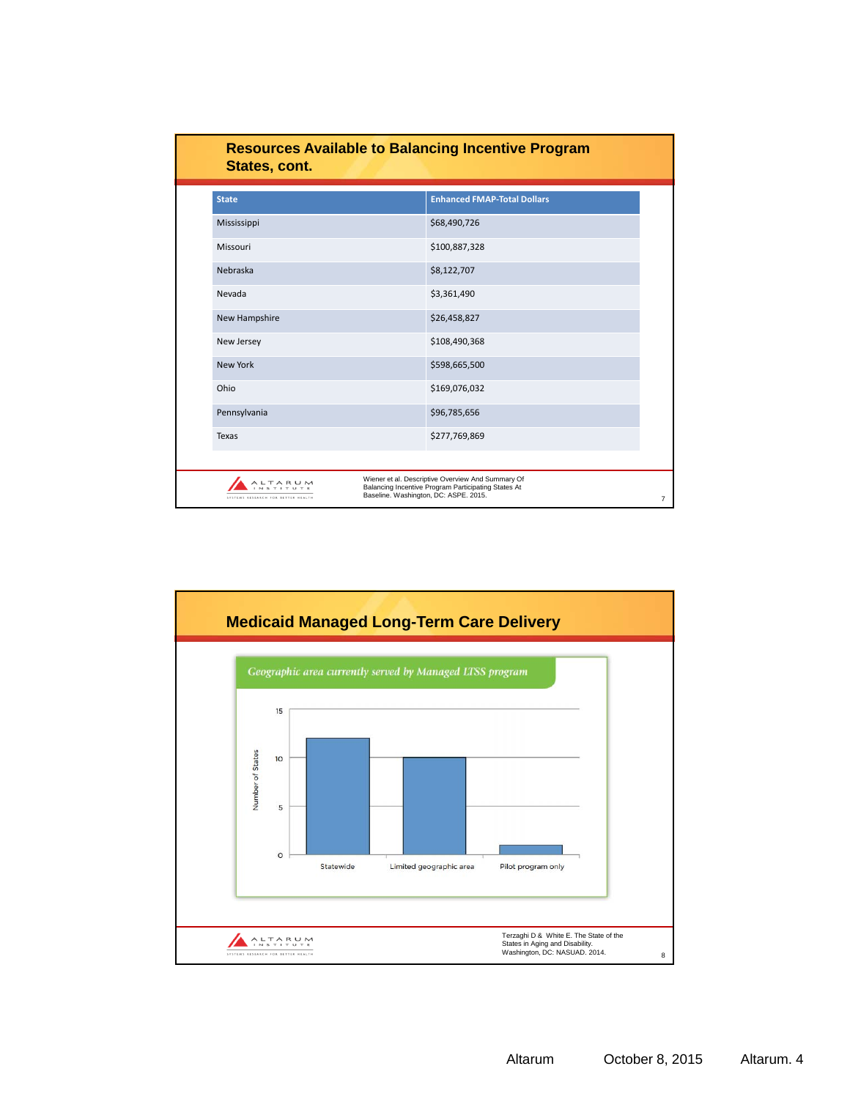| <b>States, cont.</b>                        | <b>Resources Available to Balancing Incentive Program</b>                                                                                         |
|---------------------------------------------|---------------------------------------------------------------------------------------------------------------------------------------------------|
| <b>State</b>                                | <b>Enhanced FMAP-Total Dollars</b>                                                                                                                |
| Mississippi                                 | \$68,490,726                                                                                                                                      |
| Missouri                                    | \$100,887,328                                                                                                                                     |
| Nebraska                                    | \$8,122,707                                                                                                                                       |
| Nevada                                      | \$3,361,490                                                                                                                                       |
| New Hampshire                               | \$26,458,827                                                                                                                                      |
| New Jersey                                  | \$108,490,368                                                                                                                                     |
| New York                                    | \$598,665,500                                                                                                                                     |
| Ohio                                        | \$169,076,032                                                                                                                                     |
| Pennsylvania                                | \$96,785,656                                                                                                                                      |
| <b>Texas</b>                                | \$277,769,869                                                                                                                                     |
|                                             |                                                                                                                                                   |
| TARUN<br>SYSTEMS RESEARCH FOR BETTER HEALTH | Wiener et al. Descriptive Overview And Summary Of<br>Balancing Incentive Program Participating States At<br>Baseline. Washington, DC: ASPE. 2015. |